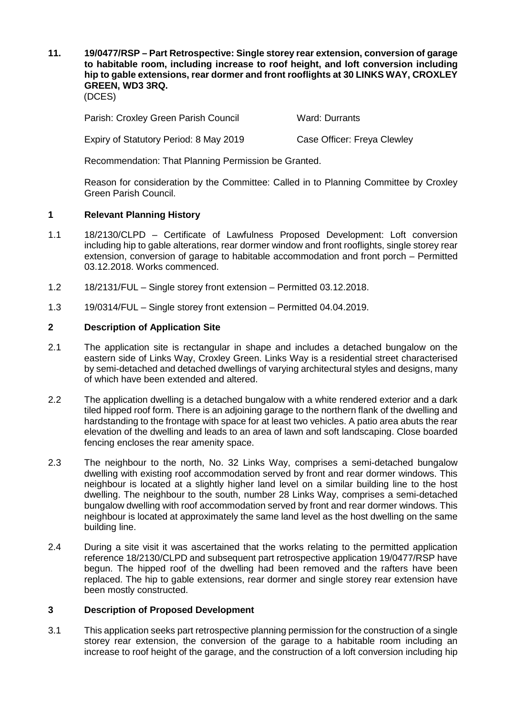**11. 19/0477/RSP – Part Retrospective: Single storey rear extension, conversion of garage to habitable room, including increase to roof height, and loft conversion including hip to gable extensions, rear dormer and front rooflights at 30 LINKS WAY, CROXLEY GREEN, WD3 3RQ.**

(DCES)

Parish: Croxley Green Parish Council Ward: Durrants

Expiry of Statutory Period: 8 May 2019 Case Officer: Freya Clewley

Recommendation: That Planning Permission be Granted.

Reason for consideration by the Committee: Called in to Planning Committee by Croxley Green Parish Council.

## **1 Relevant Planning History**

- 1.1 18/2130/CLPD Certificate of Lawfulness Proposed Development: Loft conversion including hip to gable alterations, rear dormer window and front rooflights, single storey rear extension, conversion of garage to habitable accommodation and front porch – Permitted 03.12.2018. Works commenced.
- 1.2 18/2131/FUL Single storey front extension Permitted 03.12.2018.
- 1.3 19/0314/FUL Single storey front extension Permitted 04.04.2019.

## **2 Description of Application Site**

- 2.1 The application site is rectangular in shape and includes a detached bungalow on the eastern side of Links Way, Croxley Green. Links Way is a residential street characterised by semi-detached and detached dwellings of varying architectural styles and designs, many of which have been extended and altered.
- 2.2 The application dwelling is a detached bungalow with a white rendered exterior and a dark tiled hipped roof form. There is an adjoining garage to the northern flank of the dwelling and hardstanding to the frontage with space for at least two vehicles. A patio area abuts the rear elevation of the dwelling and leads to an area of lawn and soft landscaping. Close boarded fencing encloses the rear amenity space.
- 2.3 The neighbour to the north, No. 32 Links Way, comprises a semi-detached bungalow dwelling with existing roof accommodation served by front and rear dormer windows. This neighbour is located at a slightly higher land level on a similar building line to the host dwelling. The neighbour to the south, number 28 Links Way, comprises a semi-detached bungalow dwelling with roof accommodation served by front and rear dormer windows. This neighbour is located at approximately the same land level as the host dwelling on the same building line.
- 2.4 During a site visit it was ascertained that the works relating to the permitted application reference 18/2130/CLPD and subsequent part retrospective application 19/0477/RSP have begun. The hipped roof of the dwelling had been removed and the rafters have been replaced. The hip to gable extensions, rear dormer and single storey rear extension have been mostly constructed.

# **3 Description of Proposed Development**

3.1 This application seeks part retrospective planning permission for the construction of a single storey rear extension, the conversion of the garage to a habitable room including an increase to roof height of the garage, and the construction of a loft conversion including hip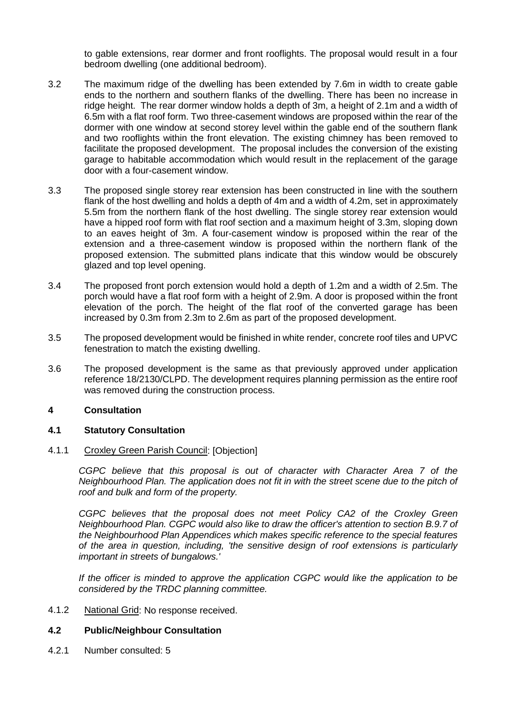to gable extensions, rear dormer and front rooflights. The proposal would result in a four bedroom dwelling (one additional bedroom).

- 3.2 The maximum ridge of the dwelling has been extended by 7.6m in width to create gable ends to the northern and southern flanks of the dwelling. There has been no increase in ridge height. The rear dormer window holds a depth of 3m, a height of 2.1m and a width of 6.5m with a flat roof form. Two three-casement windows are proposed within the rear of the dormer with one window at second storey level within the gable end of the southern flank and two rooflights within the front elevation. The existing chimney has been removed to facilitate the proposed development. The proposal includes the conversion of the existing garage to habitable accommodation which would result in the replacement of the garage door with a four-casement window.
- 3.3 The proposed single storey rear extension has been constructed in line with the southern flank of the host dwelling and holds a depth of 4m and a width of 4.2m, set in approximately 5.5m from the northern flank of the host dwelling. The single storey rear extension would have a hipped roof form with flat roof section and a maximum height of 3.3m, sloping down to an eaves height of 3m. A four-casement window is proposed within the rear of the extension and a three-casement window is proposed within the northern flank of the proposed extension. The submitted plans indicate that this window would be obscurely glazed and top level opening.
- 3.4 The proposed front porch extension would hold a depth of 1.2m and a width of 2.5m. The porch would have a flat roof form with a height of 2.9m. A door is proposed within the front elevation of the porch. The height of the flat roof of the converted garage has been increased by 0.3m from 2.3m to 2.6m as part of the proposed development.
- 3.5 The proposed development would be finished in white render, concrete roof tiles and UPVC fenestration to match the existing dwelling.
- 3.6 The proposed development is the same as that previously approved under application reference 18/2130/CLPD. The development requires planning permission as the entire roof was removed during the construction process.

## **4 Consultation**

## **4.1 Statutory Consultation**

#### 4.1.1 Croxley Green Parish Council: [Objection]

*CGPC believe that this proposal is out of character with Character Area 7 of the Neighbourhood Plan. The application does not fit in with the street scene due to the pitch of roof and bulk and form of the property.*

*CGPC believes that the proposal does not meet Policy CA2 of the Croxley Green Neighbourhood Plan. CGPC would also like to draw the officer's attention to section B.9.7 of the Neighbourhood Plan Appendices which makes specific reference to the special features of the area in question, including, 'the sensitive design of roof extensions is particularly important in streets of bungalows.'*

*If the officer is minded to approve the application CGPC would like the application to be considered by the TRDC planning committee.*

4.1.2 National Grid: No response received.

#### **4.2 Public/Neighbour Consultation**

4.2.1 Number consulted: 5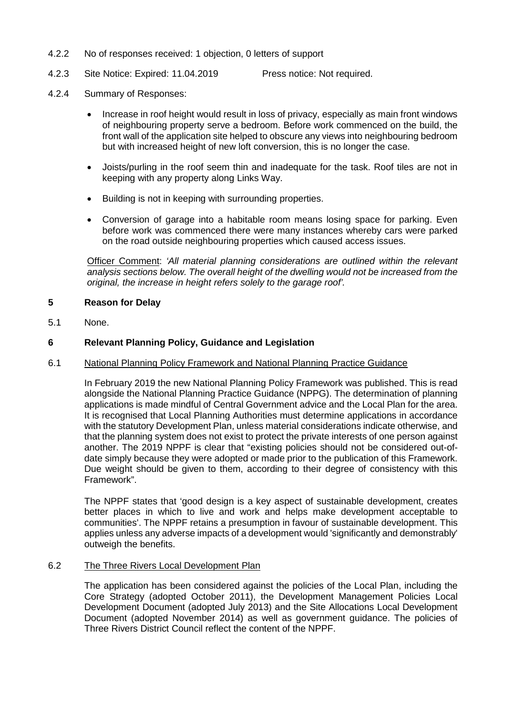- 4.2.2 No of responses received: 1 objection, 0 letters of support
- 4.2.3 Site Notice: Expired: 11.04.2019 Press notice: Not required.
- 4.2.4 Summary of Responses:
	- Increase in roof height would result in loss of privacy, especially as main front windows of neighbouring property serve a bedroom. Before work commenced on the build, the front wall of the application site helped to obscure any views into neighbouring bedroom but with increased height of new loft conversion, this is no longer the case.
	- Joists/purling in the roof seem thin and inadequate for the task. Roof tiles are not in keeping with any property along Links Way.
	- Building is not in keeping with surrounding properties.
	- Conversion of garage into a habitable room means losing space for parking. Even before work was commenced there were many instances whereby cars were parked on the road outside neighbouring properties which caused access issues.

Officer Comment: *'All material planning considerations are outlined within the relevant analysis sections below. The overall height of the dwelling would not be increased from the original, the increase in height refers solely to the garage roof'.* 

### **5 Reason for Delay**

5.1 None.

## **6 Relevant Planning Policy, Guidance and Legislation**

#### 6.1 National Planning Policy Framework and National Planning Practice Guidance

In February 2019 the new National Planning Policy Framework was published. This is read alongside the National Planning Practice Guidance (NPPG). The determination of planning applications is made mindful of Central Government advice and the Local Plan for the area. It is recognised that Local Planning Authorities must determine applications in accordance with the statutory Development Plan, unless material considerations indicate otherwise, and that the planning system does not exist to protect the private interests of one person against another. The 2019 NPPF is clear that "existing policies should not be considered out-ofdate simply because they were adopted or made prior to the publication of this Framework. Due weight should be given to them, according to their degree of consistency with this Framework".

The NPPF states that 'good design is a key aspect of sustainable development, creates better places in which to live and work and helps make development acceptable to communities'. The NPPF retains a presumption in favour of sustainable development. This applies unless any adverse impacts of a development would 'significantly and demonstrably' outweigh the benefits.

#### 6.2 The Three Rivers Local Development Plan

The application has been considered against the policies of the Local Plan, including the Core Strategy (adopted October 2011), the Development Management Policies Local Development Document (adopted July 2013) and the Site Allocations Local Development Document (adopted November 2014) as well as government guidance. The policies of Three Rivers District Council reflect the content of the NPPF.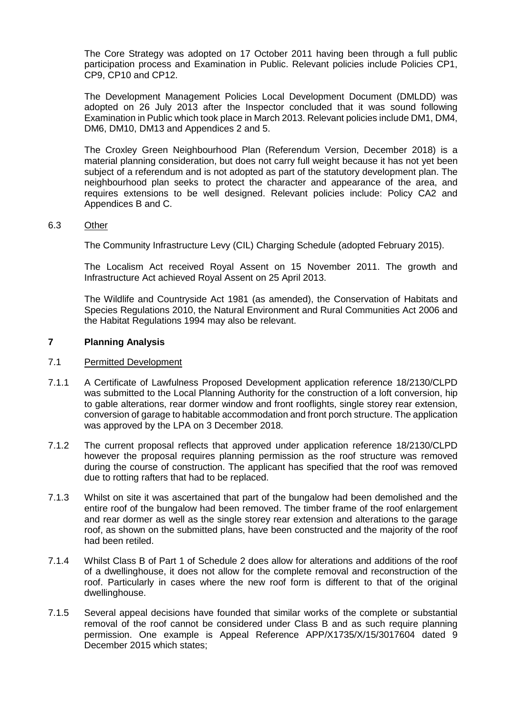The Core Strategy was adopted on 17 October 2011 having been through a full public participation process and Examination in Public. Relevant policies include Policies CP1, CP9, CP10 and CP12.

The Development Management Policies Local Development Document (DMLDD) was adopted on 26 July 2013 after the Inspector concluded that it was sound following Examination in Public which took place in March 2013. Relevant policies include DM1, DM4, DM6, DM10, DM13 and Appendices 2 and 5.

The Croxley Green Neighbourhood Plan (Referendum Version, December 2018) is a material planning consideration, but does not carry full weight because it has not yet been subject of a referendum and is not adopted as part of the statutory development plan. The neighbourhood plan seeks to protect the character and appearance of the area, and requires extensions to be well designed. Relevant policies include: Policy CA2 and Appendices B and C.

### 6.3 Other

The Community Infrastructure Levy (CIL) Charging Schedule (adopted February 2015).

The Localism Act received Royal Assent on 15 November 2011. The growth and Infrastructure Act achieved Royal Assent on 25 April 2013.

The Wildlife and Countryside Act 1981 (as amended), the Conservation of Habitats and Species Regulations 2010, the Natural Environment and Rural Communities Act 2006 and the Habitat Regulations 1994 may also be relevant.

### **7 Planning Analysis**

#### 7.1 Permitted Development

- 7.1.1 A Certificate of Lawfulness Proposed Development application reference 18/2130/CLPD was submitted to the Local Planning Authority for the construction of a loft conversion, hip to gable alterations, rear dormer window and front rooflights, single storey rear extension, conversion of garage to habitable accommodation and front porch structure. The application was approved by the LPA on 3 December 2018.
- 7.1.2 The current proposal reflects that approved under application reference 18/2130/CLPD however the proposal requires planning permission as the roof structure was removed during the course of construction. The applicant has specified that the roof was removed due to rotting rafters that had to be replaced.
- 7.1.3 Whilst on site it was ascertained that part of the bungalow had been demolished and the entire roof of the bungalow had been removed. The timber frame of the roof enlargement and rear dormer as well as the single storey rear extension and alterations to the garage roof, as shown on the submitted plans, have been constructed and the majority of the roof had been retiled.
- 7.1.4 Whilst Class B of Part 1 of Schedule 2 does allow for alterations and additions of the roof of a dwellinghouse, it does not allow for the complete removal and reconstruction of the roof. Particularly in cases where the new roof form is different to that of the original dwellinghouse.
- 7.1.5 Several appeal decisions have founded that similar works of the complete or substantial removal of the roof cannot be considered under Class B and as such require planning permission. One example is Appeal Reference APP/X1735/X/15/3017604 dated 9 December 2015 which states;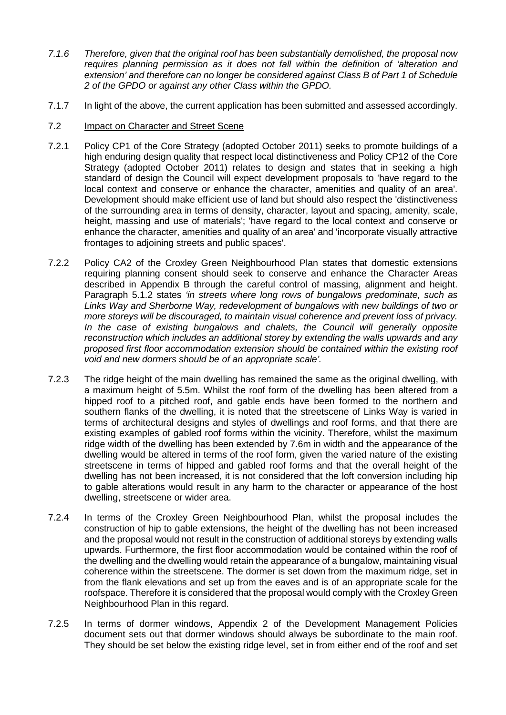- *7.1.6 Therefore, given that the original roof has been substantially demolished, the proposal now requires planning permission as it does not fall within the definition of 'alteration and extension' and therefore can no longer be considered against Class B of Part 1 of Schedule 2 of the GPDO or against any other Class within the GPDO.*
- 7.1.7 In light of the above, the current application has been submitted and assessed accordingly.
- 7.2 Impact on Character and Street Scene
- 7.2.1 Policy CP1 of the Core Strategy (adopted October 2011) seeks to promote buildings of a high enduring design quality that respect local distinctiveness and Policy CP12 of the Core Strategy (adopted October 2011) relates to design and states that in seeking a high standard of design the Council will expect development proposals to 'have regard to the local context and conserve or enhance the character, amenities and quality of an area'. Development should make efficient use of land but should also respect the 'distinctiveness of the surrounding area in terms of density, character, layout and spacing, amenity, scale, height, massing and use of materials'; 'have regard to the local context and conserve or enhance the character, amenities and quality of an area' and 'incorporate visually attractive frontages to adjoining streets and public spaces'.
- 7.2.2 Policy CA2 of the Croxley Green Neighbourhood Plan states that domestic extensions requiring planning consent should seek to conserve and enhance the Character Areas described in Appendix B through the careful control of massing, alignment and height. Paragraph 5.1.2 states *'in streets where long rows of bungalows predominate, such as Links Way and Sherborne Way, redevelopment of bungalows with new buildings of two or more storeys will be discouraged, to maintain visual coherence and prevent loss of privacy.*  In the case of existing bungalows and chalets, the Council will generally opposite *reconstruction which includes an additional storey by extending the walls upwards and any proposed first floor accommodation extension should be contained within the existing roof void and new dormers should be of an appropriate scale'.*
- 7.2.3 The ridge height of the main dwelling has remained the same as the original dwelling, with a maximum height of 5.5m. Whilst the roof form of the dwelling has been altered from a hipped roof to a pitched roof, and gable ends have been formed to the northern and southern flanks of the dwelling, it is noted that the streetscene of Links Way is varied in terms of architectural designs and styles of dwellings and roof forms, and that there are existing examples of gabled roof forms within the vicinity. Therefore, whilst the maximum ridge width of the dwelling has been extended by 7.6m in width and the appearance of the dwelling would be altered in terms of the roof form, given the varied nature of the existing streetscene in terms of hipped and gabled roof forms and that the overall height of the dwelling has not been increased, it is not considered that the loft conversion including hip to gable alterations would result in any harm to the character or appearance of the host dwelling, streetscene or wider area.
- 7.2.4 In terms of the Croxley Green Neighbourhood Plan, whilst the proposal includes the construction of hip to gable extensions, the height of the dwelling has not been increased and the proposal would not result in the construction of additional storeys by extending walls upwards. Furthermore, the first floor accommodation would be contained within the roof of the dwelling and the dwelling would retain the appearance of a bungalow, maintaining visual coherence within the streetscene. The dormer is set down from the maximum ridge, set in from the flank elevations and set up from the eaves and is of an appropriate scale for the roofspace. Therefore it is considered that the proposal would comply with the Croxley Green Neighbourhood Plan in this regard.
- 7.2.5 In terms of dormer windows, Appendix 2 of the Development Management Policies document sets out that dormer windows should always be subordinate to the main roof. They should be set below the existing ridge level, set in from either end of the roof and set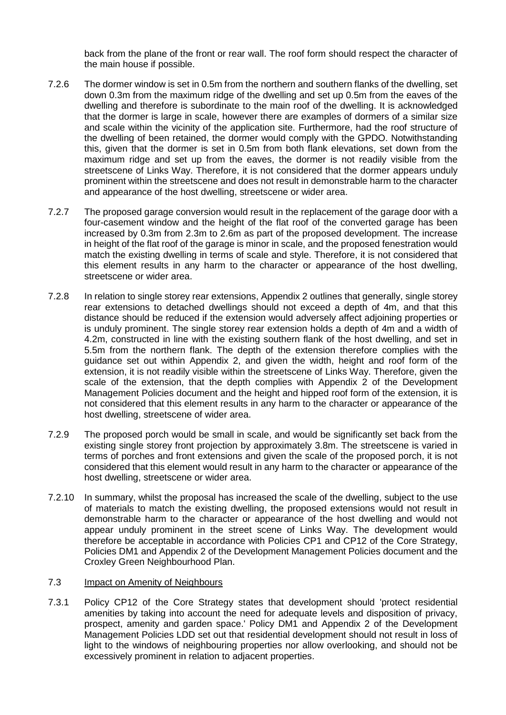back from the plane of the front or rear wall. The roof form should respect the character of the main house if possible.

- 7.2.6 The dormer window is set in 0.5m from the northern and southern flanks of the dwelling, set down 0.3m from the maximum ridge of the dwelling and set up 0.5m from the eaves of the dwelling and therefore is subordinate to the main roof of the dwelling. It is acknowledged that the dormer is large in scale, however there are examples of dormers of a similar size and scale within the vicinity of the application site. Furthermore, had the roof structure of the dwelling of been retained, the dormer would comply with the GPDO. Notwithstanding this, given that the dormer is set in 0.5m from both flank elevations, set down from the maximum ridge and set up from the eaves, the dormer is not readily visible from the streetscene of Links Way. Therefore, it is not considered that the dormer appears unduly prominent within the streetscene and does not result in demonstrable harm to the character and appearance of the host dwelling, streetscene or wider area.
- 7.2.7 The proposed garage conversion would result in the replacement of the garage door with a four-casement window and the height of the flat roof of the converted garage has been increased by 0.3m from 2.3m to 2.6m as part of the proposed development. The increase in height of the flat roof of the garage is minor in scale, and the proposed fenestration would match the existing dwelling in terms of scale and style. Therefore, it is not considered that this element results in any harm to the character or appearance of the host dwelling, streetscene or wider area.
- 7.2.8 In relation to single storey rear extensions, Appendix 2 outlines that generally, single storey rear extensions to detached dwellings should not exceed a depth of 4m, and that this distance should be reduced if the extension would adversely affect adjoining properties or is unduly prominent. The single storey rear extension holds a depth of 4m and a width of 4.2m, constructed in line with the existing southern flank of the host dwelling, and set in 5.5m from the northern flank. The depth of the extension therefore complies with the guidance set out within Appendix 2, and given the width, height and roof form of the extension, it is not readily visible within the streetscene of Links Way. Therefore, given the scale of the extension, that the depth complies with Appendix 2 of the Development Management Policies document and the height and hipped roof form of the extension, it is not considered that this element results in any harm to the character or appearance of the host dwelling, streetscene of wider area.
- 7.2.9 The proposed porch would be small in scale, and would be significantly set back from the existing single storey front projection by approximately 3.8m. The streetscene is varied in terms of porches and front extensions and given the scale of the proposed porch, it is not considered that this element would result in any harm to the character or appearance of the host dwelling, streetscene or wider area.
- 7.2.10 In summary, whilst the proposal has increased the scale of the dwelling, subject to the use of materials to match the existing dwelling, the proposed extensions would not result in demonstrable harm to the character or appearance of the host dwelling and would not appear unduly prominent in the street scene of Links Way. The development would therefore be acceptable in accordance with Policies CP1 and CP12 of the Core Strategy, Policies DM1 and Appendix 2 of the Development Management Policies document and the Croxley Green Neighbourhood Plan.

### 7.3 Impact on Amenity of Neighbours

7.3.1 Policy CP12 of the Core Strategy states that development should 'protect residential amenities by taking into account the need for adequate levels and disposition of privacy, prospect, amenity and garden space.' Policy DM1 and Appendix 2 of the Development Management Policies LDD set out that residential development should not result in loss of light to the windows of neighbouring properties nor allow overlooking, and should not be excessively prominent in relation to adjacent properties.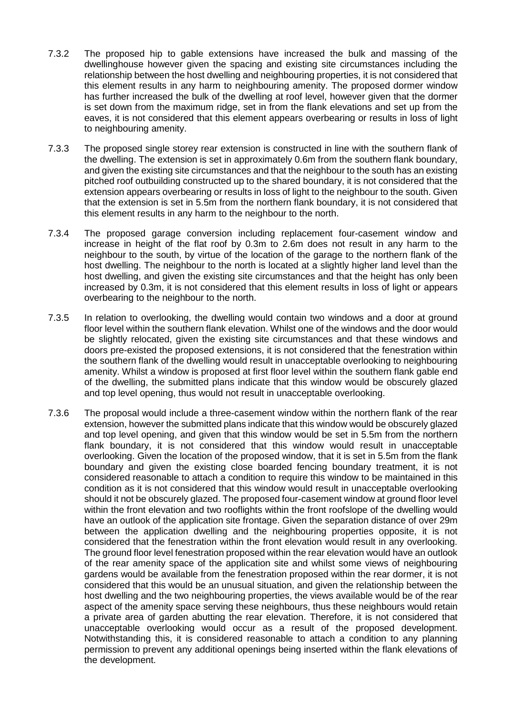- 7.3.2 The proposed hip to gable extensions have increased the bulk and massing of the dwellinghouse however given the spacing and existing site circumstances including the relationship between the host dwelling and neighbouring properties, it is not considered that this element results in any harm to neighbouring amenity. The proposed dormer window has further increased the bulk of the dwelling at roof level, however given that the dormer is set down from the maximum ridge, set in from the flank elevations and set up from the eaves, it is not considered that this element appears overbearing or results in loss of light to neighbouring amenity.
- 7.3.3 The proposed single storey rear extension is constructed in line with the southern flank of the dwelling. The extension is set in approximately 0.6m from the southern flank boundary, and given the existing site circumstances and that the neighbour to the south has an existing pitched roof outbuilding constructed up to the shared boundary, it is not considered that the extension appears overbearing or results in loss of light to the neighbour to the south. Given that the extension is set in 5.5m from the northern flank boundary, it is not considered that this element results in any harm to the neighbour to the north.
- 7.3.4 The proposed garage conversion including replacement four-casement window and increase in height of the flat roof by 0.3m to 2.6m does not result in any harm to the neighbour to the south, by virtue of the location of the garage to the northern flank of the host dwelling. The neighbour to the north is located at a slightly higher land level than the host dwelling, and given the existing site circumstances and that the height has only been increased by 0.3m, it is not considered that this element results in loss of light or appears overbearing to the neighbour to the north.
- 7.3.5 In relation to overlooking, the dwelling would contain two windows and a door at ground floor level within the southern flank elevation. Whilst one of the windows and the door would be slightly relocated, given the existing site circumstances and that these windows and doors pre-existed the proposed extensions, it is not considered that the fenestration within the southern flank of the dwelling would result in unacceptable overlooking to neighbouring amenity. Whilst a window is proposed at first floor level within the southern flank gable end of the dwelling, the submitted plans indicate that this window would be obscurely glazed and top level opening, thus would not result in unacceptable overlooking.
- 7.3.6 The proposal would include a three-casement window within the northern flank of the rear extension, however the submitted plans indicate that this window would be obscurely glazed and top level opening, and given that this window would be set in 5.5m from the northern flank boundary, it is not considered that this window would result in unacceptable overlooking. Given the location of the proposed window, that it is set in 5.5m from the flank boundary and given the existing close boarded fencing boundary treatment, it is not considered reasonable to attach a condition to require this window to be maintained in this condition as it is not considered that this window would result in unacceptable overlooking should it not be obscurely glazed. The proposed four-casement window at ground floor level within the front elevation and two rooflights within the front roofslope of the dwelling would have an outlook of the application site frontage. Given the separation distance of over 29m between the application dwelling and the neighbouring properties opposite, it is not considered that the fenestration within the front elevation would result in any overlooking. The ground floor level fenestration proposed within the rear elevation would have an outlook of the rear amenity space of the application site and whilst some views of neighbouring gardens would be available from the fenestration proposed within the rear dormer, it is not considered that this would be an unusual situation, and given the relationship between the host dwelling and the two neighbouring properties, the views available would be of the rear aspect of the amenity space serving these neighbours, thus these neighbours would retain a private area of garden abutting the rear elevation. Therefore, it is not considered that unacceptable overlooking would occur as a result of the proposed development. Notwithstanding this, it is considered reasonable to attach a condition to any planning permission to prevent any additional openings being inserted within the flank elevations of the development.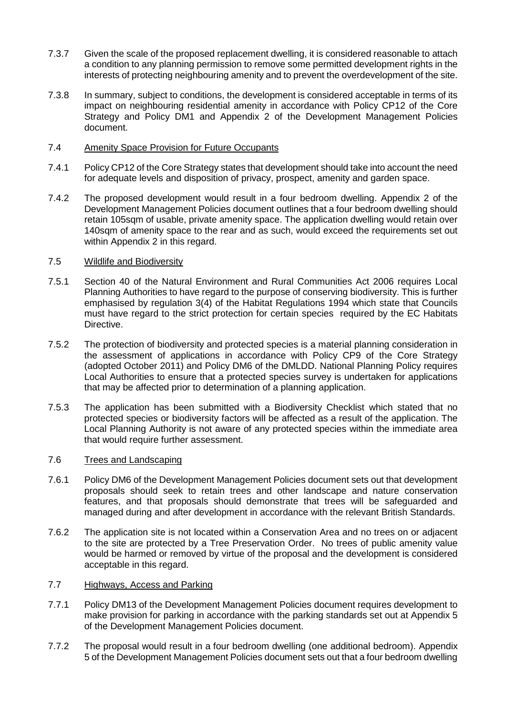- 7.3.7 Given the scale of the proposed replacement dwelling, it is considered reasonable to attach a condition to any planning permission to remove some permitted development rights in the interests of protecting neighbouring amenity and to prevent the overdevelopment of the site.
- 7.3.8 In summary, subject to conditions, the development is considered acceptable in terms of its impact on neighbouring residential amenity in accordance with Policy CP12 of the Core Strategy and Policy DM1 and Appendix 2 of the Development Management Policies document.
- 7.4 Amenity Space Provision for Future Occupants
- 7.4.1 Policy CP12 of the Core Strategy states that development should take into account the need for adequate levels and disposition of privacy, prospect, amenity and garden space.
- 7.4.2 The proposed development would result in a four bedroom dwelling. Appendix 2 of the Development Management Policies document outlines that a four bedroom dwelling should retain 105sqm of usable, private amenity space. The application dwelling would retain over 140sqm of amenity space to the rear and as such, would exceed the requirements set out within Appendix 2 in this regard.

### 7.5 Wildlife and Biodiversity

- 7.5.1 Section 40 of the Natural Environment and Rural Communities Act 2006 requires Local Planning Authorities to have regard to the purpose of conserving biodiversity. This is further emphasised by regulation 3(4) of the Habitat Regulations 1994 which state that Councils must have regard to the strict protection for certain species required by the EC Habitats Directive.
- 7.5.2 The protection of biodiversity and protected species is a material planning consideration in the assessment of applications in accordance with Policy CP9 of the Core Strategy (adopted October 2011) and Policy DM6 of the DMLDD. National Planning Policy requires Local Authorities to ensure that a protected species survey is undertaken for applications that may be affected prior to determination of a planning application.
- 7.5.3 The application has been submitted with a Biodiversity Checklist which stated that no protected species or biodiversity factors will be affected as a result of the application. The Local Planning Authority is not aware of any protected species within the immediate area that would require further assessment.

#### 7.6 Trees and Landscaping

- 7.6.1 Policy DM6 of the Development Management Policies document sets out that development proposals should seek to retain trees and other landscape and nature conservation features, and that proposals should demonstrate that trees will be safeguarded and managed during and after development in accordance with the relevant British Standards.
- 7.6.2 The application site is not located within a Conservation Area and no trees on or adjacent to the site are protected by a Tree Preservation Order. No trees of public amenity value would be harmed or removed by virtue of the proposal and the development is considered acceptable in this regard.

### 7.7 Highways, Access and Parking

- 7.7.1 Policy DM13 of the Development Management Policies document requires development to make provision for parking in accordance with the parking standards set out at Appendix 5 of the Development Management Policies document.
- 7.7.2 The proposal would result in a four bedroom dwelling (one additional bedroom). Appendix 5 of the Development Management Policies document sets out that a four bedroom dwelling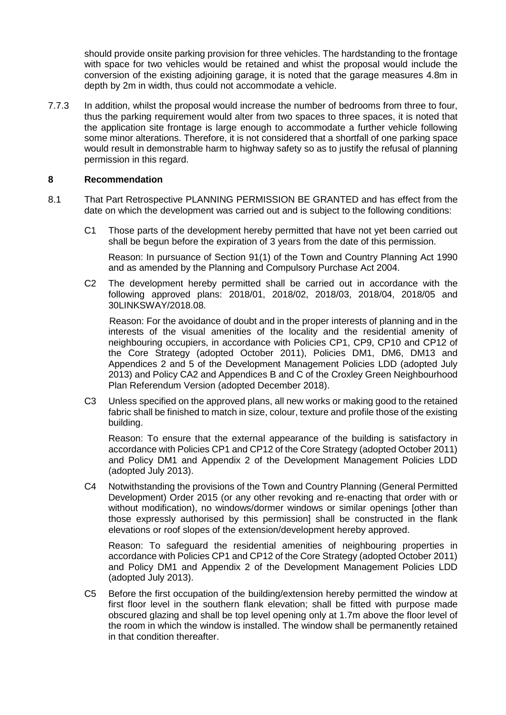should provide onsite parking provision for three vehicles. The hardstanding to the frontage with space for two vehicles would be retained and whist the proposal would include the conversion of the existing adjoining garage, it is noted that the garage measures 4.8m in depth by 2m in width, thus could not accommodate a vehicle.

7.7.3 In addition, whilst the proposal would increase the number of bedrooms from three to four, thus the parking requirement would alter from two spaces to three spaces, it is noted that the application site frontage is large enough to accommodate a further vehicle following some minor alterations. Therefore, it is not considered that a shortfall of one parking space would result in demonstrable harm to highway safety so as to justify the refusal of planning permission in this regard.

## **8 Recommendation**

- 8.1 That Part Retrospective PLANNING PERMISSION BE GRANTED and has effect from the date on which the development was carried out and is subject to the following conditions:
	- C1 Those parts of the development hereby permitted that have not yet been carried out shall be begun before the expiration of 3 years from the date of this permission.

Reason: In pursuance of Section 91(1) of the Town and Country Planning Act 1990 and as amended by the Planning and Compulsory Purchase Act 2004.

C2 The development hereby permitted shall be carried out in accordance with the following approved plans: 2018/01, 2018/02, 2018/03, 2018/04, 2018/05 and 30LINKSWAY/2018.08.

Reason: For the avoidance of doubt and in the proper interests of planning and in the interests of the visual amenities of the locality and the residential amenity of neighbouring occupiers, in accordance with Policies CP1, CP9, CP10 and CP12 of the Core Strategy (adopted October 2011), Policies DM1, DM6, DM13 and Appendices 2 and 5 of the Development Management Policies LDD (adopted July 2013) and Policy CA2 and Appendices B and C of the Croxley Green Neighbourhood Plan Referendum Version (adopted December 2018).

C3 Unless specified on the approved plans, all new works or making good to the retained fabric shall be finished to match in size, colour, texture and profile those of the existing building.

Reason: To ensure that the external appearance of the building is satisfactory in accordance with Policies CP1 and CP12 of the Core Strategy (adopted October 2011) and Policy DM1 and Appendix 2 of the Development Management Policies LDD (adopted July 2013).

C4 Notwithstanding the provisions of the Town and Country Planning (General Permitted Development) Order 2015 (or any other revoking and re-enacting that order with or without modification), no windows/dormer windows or similar openings [other than those expressly authorised by this permission] shall be constructed in the flank elevations or roof slopes of the extension/development hereby approved.

Reason: To safeguard the residential amenities of neighbouring properties in accordance with Policies CP1 and CP12 of the Core Strategy (adopted October 2011) and Policy DM1 and Appendix 2 of the Development Management Policies LDD (adopted July 2013).

C5 Before the first occupation of the building/extension hereby permitted the window at first floor level in the southern flank elevation; shall be fitted with purpose made obscured glazing and shall be top level opening only at 1.7m above the floor level of the room in which the window is installed. The window shall be permanently retained in that condition thereafter.